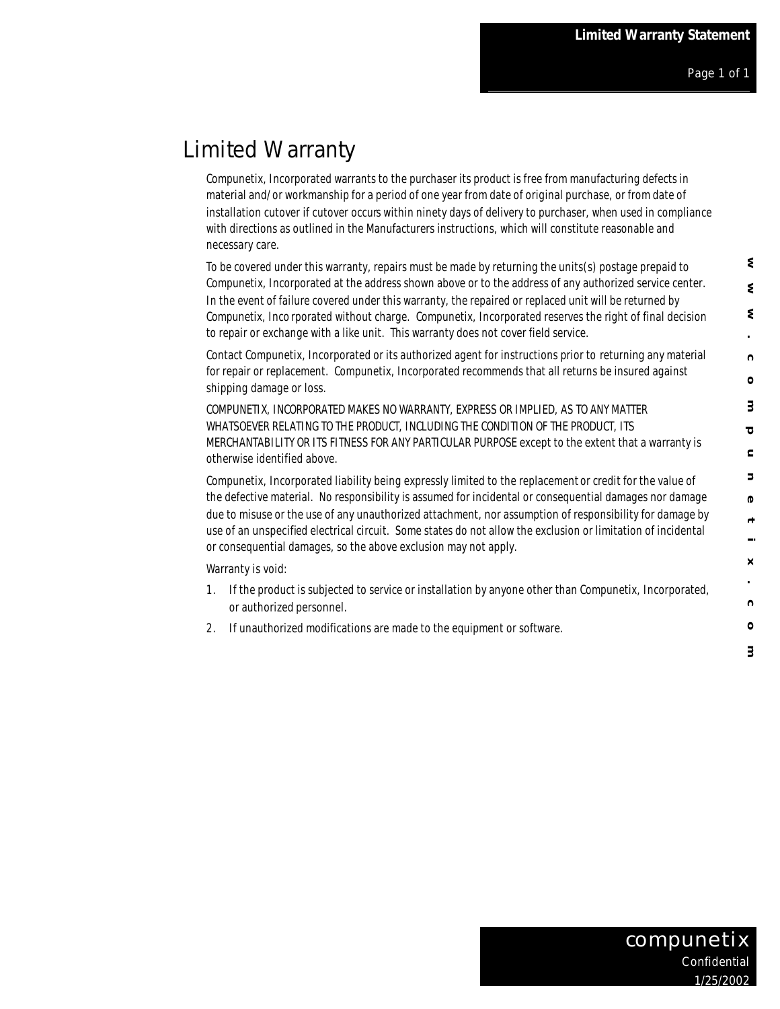## Limited Warranty

Compunetix, Incorporated warrants to the purchaser its product is free from manufacturing defects in material and/or workmanship for a period of one year from date of original purchase, or from date of installation cutover if cutover occurs within ninety days of delivery to purchaser, when used in compliance with directions as outlined in the Manufacturers instructions, which will constitute reasonable and necessary care.

To be covered under this warranty, repairs must be made by returning the units(s) postage prepaid to Compunetix, Incorporated at the address shown above or to the address of any authorized service center. In the event of failure covered under this warranty, the repaired or replaced unit will be returned by Compunetix, Inco rporated without charge. Compunetix, Incorporated reserves the right of final decision to repair or exchange with a like unit. This warranty does not cover field service.

Contact Compunetix, Incorporated or its authorized agent for instructions prior to returning any material for repair or replacement. Compunetix, Incorporated recommends that all returns be insured against shipping damage or loss.

COMPUNETIX, INCORPORATED MAKES NO WARRANTY, EXPRESS OR IMPLIED, AS TO ANY MATTER WHATSOEVER RELATING TO THE PRODUCT, INCLUDING THE CONDITION OF THE PRODUCT, ITS MERCHANTABILITY OR ITS FITNESS FOR ANY PARTICULAR PURPOSE except to the extent that a warranty is otherwise identified above.

Compunetix, Incorporated liability being expressly limited to the replacement or credit for the value of the defective material. No responsibility is assumed for incidental or consequential damages nor damage due to misuse or the use of any unauthorized attachment, nor assumption of responsibility for damage by use of an unspecified electrical circuit. Some states do not allow the exclusion or limitation of incidental or consequential damages, so the above exclusion may not apply.

Warranty is void:

- 1. If the product is subjected to service or installation by anyone other than Compunetix, Incorporated, or authorized personnel.
- 2. If unauthorized modifications are made to the equipment or software.

٤

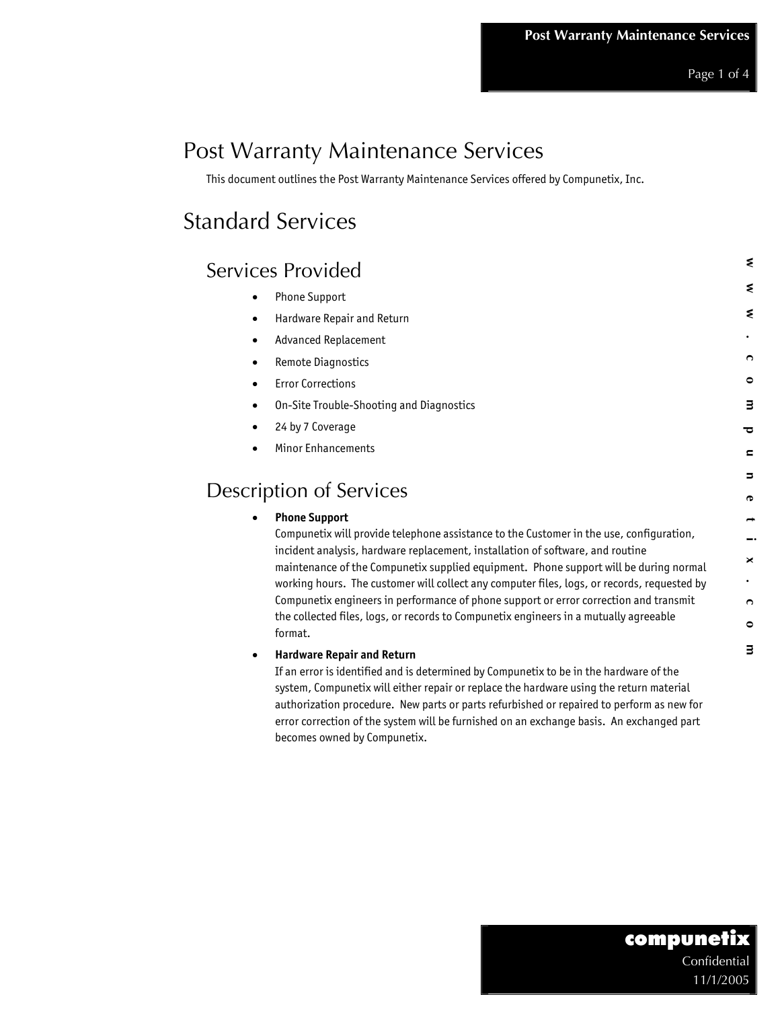Page 1 of 4

# Post Warranty Maintenance Services

This document outlines the Post Warranty Maintenance Services offered by Compunetix, Inc.

# Standard Services

| <b>Services Provided</b>                                                                                                                                         |                                                                                                                                                                                                                                                                                  | ₹         |
|------------------------------------------------------------------------------------------------------------------------------------------------------------------|----------------------------------------------------------------------------------------------------------------------------------------------------------------------------------------------------------------------------------------------------------------------------------|-----------|
| Phone Support<br>٠                                                                                                                                               |                                                                                                                                                                                                                                                                                  | ₹         |
| Hardware Repair and Return<br>$\bullet$                                                                                                                          |                                                                                                                                                                                                                                                                                  | ₹         |
| <b>Advanced Replacement</b><br>٠                                                                                                                                 |                                                                                                                                                                                                                                                                                  |           |
| Remote Diagnostics<br>$\bullet$                                                                                                                                  |                                                                                                                                                                                                                                                                                  | O         |
| <b>Error Corrections</b><br>٠                                                                                                                                    |                                                                                                                                                                                                                                                                                  | ۰         |
| On-Site Trouble-Shooting and Diagnostics<br>٠                                                                                                                    |                                                                                                                                                                                                                                                                                  | з         |
| 24 by 7 Coverage<br>٠                                                                                                                                            |                                                                                                                                                                                                                                                                                  | ᅙ         |
| Minor Enhancements                                                                                                                                               |                                                                                                                                                                                                                                                                                  | c         |
|                                                                                                                                                                  |                                                                                                                                                                                                                                                                                  | 5         |
| <b>Description of Services</b>                                                                                                                                   |                                                                                                                                                                                                                                                                                  | P         |
| <b>Phone Support</b><br>$\bullet$                                                                                                                                |                                                                                                                                                                                                                                                                                  |           |
|                                                                                                                                                                  | Compunetix will provide telephone assistance to the Customer in the use, configuration,                                                                                                                                                                                          |           |
| incident analysis, hardware replacement, installation of software, and routine                                                                                   |                                                                                                                                                                                                                                                                                  | ×         |
|                                                                                                                                                                  | maintenance of the Compunetix supplied equipment. Phone support will be during normal<br>working hours. The customer will collect any computer files, logs, or records, requested by                                                                                             |           |
|                                                                                                                                                                  | Compunetix engineers in performance of phone support or error correction and transmit                                                                                                                                                                                            | O         |
| the collected files, logs, or records to Compunetix engineers in a mutually agreeable                                                                            |                                                                                                                                                                                                                                                                                  | $\bullet$ |
| format.                                                                                                                                                          |                                                                                                                                                                                                                                                                                  | з         |
| <b>Hardware Repair and Return</b><br>٠<br>If an error is identified and is determined by Compunetix to be in the hardware of the<br>becomes owned by Compunetix. | system, Compunetix will either repair or replace the hardware using the return material<br>authorization procedure. New parts or parts refurbished or repaired to perform as new for<br>error correction of the system will be furnished on an exchange basis. An exchanged part |           |
|                                                                                                                                                                  | compunetix<br>Confidential                                                                                                                                                                                                                                                       |           |
|                                                                                                                                                                  | 11/1/2005                                                                                                                                                                                                                                                                        |           |

#### • **Hardware Repair and Return**

## compunetix Confidential 11/1/2005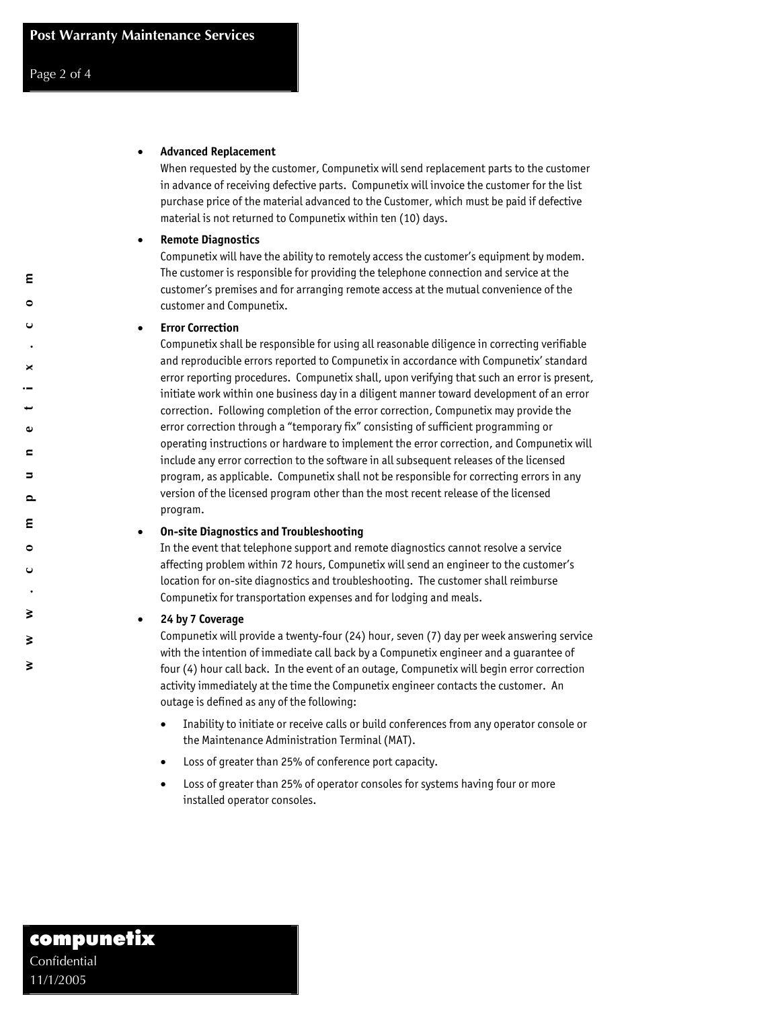ε  $\bullet$ 

×

G)  $\blacksquare$  $\blacksquare$  $\sim$ ε  $\bullet$ 

₹

 $\geq$ 

₹

#### • **Advanced Replacement**

When requested by the customer, Compunetix will send replacement parts to the customer in advance of receiving defective parts. Compunetix will invoice the customer for the list purchase price of the material advanced to the Customer, which must be paid if defective material is not returned to Compunetix within ten (10) days.

#### • **Remote Diagnostics**

Compunetix will have the ability to remotely access the customer's equipment by modem. The customer is responsible for providing the telephone connection and service at the customer's premises and for arranging remote access at the mutual convenience of the customer and Compunetix.

#### • **Error Correction**

Compunetix shall be responsible for using all reasonable diligence in correcting verifiable and reproducible errors reported to Compunetix in accordance with Compunetix' standard error reporting procedures. Compunetix shall, upon verifying that such an error is present, initiate work within one business day in a diligent manner toward development of an error correction. Following completion of the error correction, Compunetix may provide the error correction through a "temporary fix" consisting of sufficient programming or operating instructions or hardware to implement the error correction, and Compunetix will include any error correction to the software in all subsequent releases of the licensed program, as applicable. Compunetix shall not be responsible for correcting errors in any version of the licensed program other than the most recent release of the licensed program.

#### • **On-site Diagnostics and Troubleshooting**

In the event that telephone support and remote diagnostics cannot resolve a service affecting problem within 72 hours, Compunetix will send an engineer to the customer's location for on-site diagnostics and troubleshooting. The customer shall reimburse Compunetix for transportation expenses and for lodging and meals.

#### • **24 by 7 Coverage**

Compunetix will provide a twenty-four (24) hour, seven (7) day per week answering service with the intention of immediate call back by a Compunetix engineer and a guarantee of four (4) hour call back. In the event of an outage, Compunetix will begin error correction activity immediately at the time the Compunetix engineer contacts the customer. An outage is defined as any of the following:

- Inability to initiate or receive calls or build conferences from any operator console or the Maintenance Administration Terminal (MAT).
- Loss of greater than 25% of conference port capacity.
- Loss of greater than 25% of operator consoles for systems having four or more installed operator consoles.

# 11/1/2005 **www.compunetix.com**  compunetix Confidential 11/1/2005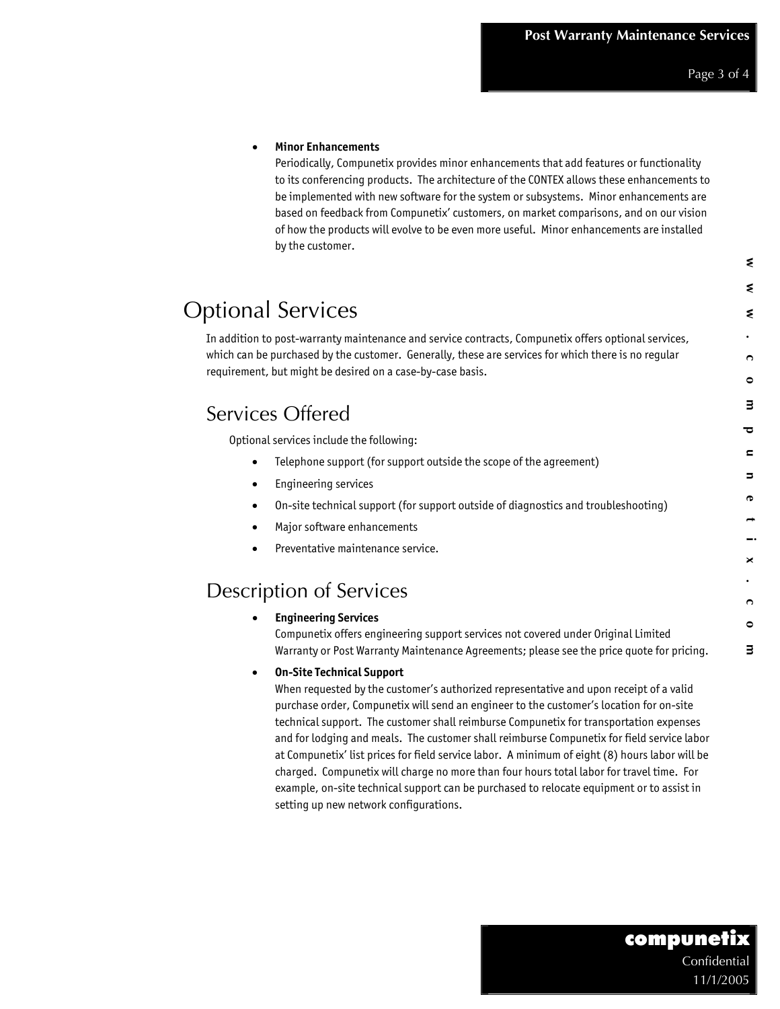₹

#### • **Minor Enhancements**

Periodically, Compunetix provides minor enhancements that add features or functionality to its conferencing products. The architecture of the CONTEX allows these enhancements to be implemented with new software for the system or subsystems. Minor enhancements are based on feedback from Compunetix' customers, on market comparisons, and on our vision of how the products will evolve to be even more useful. Minor enhancements are installed by the customer.

|                                                                                         | In addition to post-warranty maintenance and service contracts, Compunetix offers optional services,                                                                                                                                                                                                                                                                                                                                                                                                                                                                                                                                                                 |        |
|-----------------------------------------------------------------------------------------|----------------------------------------------------------------------------------------------------------------------------------------------------------------------------------------------------------------------------------------------------------------------------------------------------------------------------------------------------------------------------------------------------------------------------------------------------------------------------------------------------------------------------------------------------------------------------------------------------------------------------------------------------------------------|--------|
|                                                                                         | which can be purchased by the customer. Generally, these are services for which there is no regular                                                                                                                                                                                                                                                                                                                                                                                                                                                                                                                                                                  | ∩      |
| requirement, but might be desired on a case-by-case basis.                              |                                                                                                                                                                                                                                                                                                                                                                                                                                                                                                                                                                                                                                                                      | ٥      |
| Services Offered                                                                        |                                                                                                                                                                                                                                                                                                                                                                                                                                                                                                                                                                                                                                                                      | 3      |
| Optional services include the following:                                                |                                                                                                                                                                                                                                                                                                                                                                                                                                                                                                                                                                                                                                                                      |        |
| $\bullet$                                                                               | Telephone support (for support outside the scope of the agreement)                                                                                                                                                                                                                                                                                                                                                                                                                                                                                                                                                                                                   | c      |
| <b>Engineering services</b><br>$\bullet$                                                |                                                                                                                                                                                                                                                                                                                                                                                                                                                                                                                                                                                                                                                                      | 5      |
| $\bullet$                                                                               | On-site technical support (for support outside of diagnostics and troubleshooting)                                                                                                                                                                                                                                                                                                                                                                                                                                                                                                                                                                                   | Φ      |
| Major software enhancements<br>٠                                                        |                                                                                                                                                                                                                                                                                                                                                                                                                                                                                                                                                                                                                                                                      |        |
| Preventative maintenance service.                                                       |                                                                                                                                                                                                                                                                                                                                                                                                                                                                                                                                                                                                                                                                      | ×      |
| <b>Description of Services</b>                                                          |                                                                                                                                                                                                                                                                                                                                                                                                                                                                                                                                                                                                                                                                      |        |
|                                                                                         |                                                                                                                                                                                                                                                                                                                                                                                                                                                                                                                                                                                                                                                                      | ∩      |
| <b>Engineering Services</b>                                                             | Compunetix offers engineering support services not covered under Original Limited<br>Warranty or Post Warranty Maintenance Agreements; please see the price quote for pricing.                                                                                                                                                                                                                                                                                                                                                                                                                                                                                       | ٥<br>з |
| <b>On-Site Technical Support</b><br>$\bullet$<br>setting up new network configurations. | When requested by the customer's authorized representative and upon receipt of a valid<br>purchase order, Compunetix will send an engineer to the customer's location for on-site<br>technical support. The customer shall reimburse Compunetix for transportation expenses<br>and for lodging and meals. The customer shall reimburse Compunetix for field service labor<br>at Compunetix' list prices for field service labor. A minimum of eight (8) hours labor will be<br>charged. Compunetix will charge no more than four hours total labor for travel time. For<br>example, on-site technical support can be purchased to relocate equipment or to assist in |        |
|                                                                                         | compunetix<br>Confidential                                                                                                                                                                                                                                                                                                                                                                                                                                                                                                                                                                                                                                           |        |

### Compunetix offers engineering support services not covered under Original Limited Warranty or Post Warranty Maintenance Agreements; please see the price quote for pricing.

#### • **On-Site Technical Support**

## compunetix Confidential